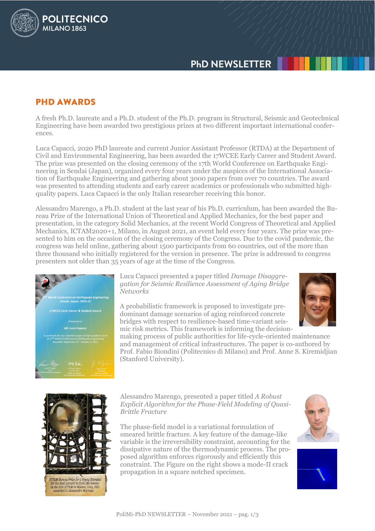# **PHD NEWSLETTER**

# **PHD AWARDS**

POLITECNICO

MILANO<sub>1863</sub>

A fresh Ph.D. laureate and a Ph.D. student of the Ph.D. program in Structural, Seismic and Geotechnical Engineering have been awarded two prestigious prizes at two different important international conferences.

Luca Capacci, 2020 PhD laureate and current Junior Assistant Professor (RTDA) at the Department of Civil and Environmental Engineering, has been awarded the 17WCEE Early Career and Student Award. The prize was presented on the closing ceremony of the 17th World Conference on Earthquake Engineering in Sendai (Japan), organized every four years under the auspices of the International Association of Earthquake Engineering and gathering about 3000 papers from over 70 countries. The award was presented to attending students and early career academics or professionals who submitted highquality papers. Luca Capacci is the only Italian researcher receiving this honor.

Alessandro Marengo, a Ph.D. student at the last year of his Ph.D. curriculum, has been awarded the Bureau Prize of the International Union of Theoretical and Applied Mechanics, for the best paper and presentation, in the category Solid Mechanics, at the recent World Congress of Theoretical and Applied Mechanics, ICTAM2020+1, Milano, in August 2021, an event held every four years. The prize was presented to him on the occasion of the closing ceremony of the Congress. Due to the covid pandemic, the congress was held online, gathering about 1500 participants from 60 countries, out of the more than three thousand who initially registered for the version in presence. The prize is addressed to congress presenters not older than 35 years of age at the time of the Congress.



Luca Capacci presented a paper titled *Damage Disaggregation for Seismic Resilience Assessment of Aging Bridge Networks*

A probabilistic framework is proposed to investigate predominant damage scenarios of aging reinforced concrete bridges with respect to resilience-based time-variant seismic risk metrics. This framework is informing the decision-



making process of public authorities for life-cycle-oriented maintenance and management of critical infrastructures. The paper is co-authored by Prof. Fabio Biondini (Politecnico di Milano) and Prof. Anne S. Kiremidjian (Stanford University).



### Alessandro Marengo, presented a paper titled *A Robust Explicit Algorithm for the Phase-Field Modeling of Quasi-Brittle Fracture*

The phase-field model is a variational formulation of smeared brittle fracture. A key feature of the damage-like variable is the irreversibility constraint, accounting for the dissipative nature of the thermodynamic process. The proposed algorithm enforces rigorously and efficiently this constraint. The Figure on the right shows a mode-II crack propagation in a square notched specimen.



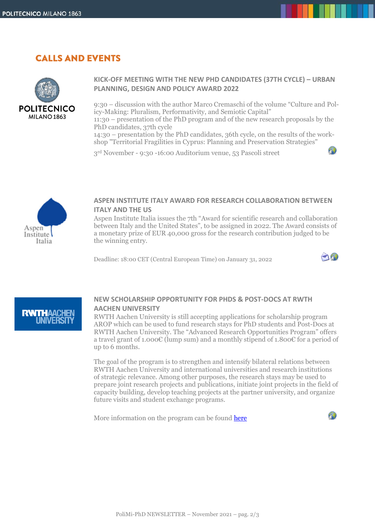# **CALLS AND EVENTS**



### **KICK-OFF MEETING WITH THE NEW PHD CANDIDATES (37TH CYCLE) – URBAN PLANNING, DESIGN AND POLICY AWARD 2022**

9:30 – discussion with the author Marco Cremaschi of the volume "Culture and Policy-Making: Pluralism, Performativity, and Semiotic Capital" 11:30 – presentation of the PhD program and of the new research proposals by the

PhD candidates, 37th cycle

14:30 – presentation by the PhD candidates, 36th cycle, on the results of the workshop "Territorial Fragilities in Cyprus: Planning and Preservation Strategies"

3 rd November - 9:30 -16:00 Auditorium venue, 53 Pascoli street



#### **ASPEN INSTITUTE ITALY AWARD FOR RESEARCH COLLABORATION BETWEEN ITALY AND THE US**

Aspen Institute Italia issues the 7th "Award for scientific research and collaboration between Italy and the United States", to be assigned in 2022. The Award consists of a monetary prize of EUR 40,000 gross for the research contribution judged to be the winning entry.

Deadline: 18:00 CET (Central European Time) on January 31, 2022



ΥТ



### **NEW SCHOLARSHIP OPPORTUNITY FOR PHDS & POST-DOCS AT RWTH AACHEN UNIVERSITY**

RWTH Aachen University is still accepting applications for scholarship program AROP which can be used to fund research stays for PhD students and Post-Docs at RWTH Aachen University. The "Advanced Research Opportunities Program" offers a travel grant of 1.000€ (lump sum) and a monthly stipend of 1.800€ for a period of up to 6 months.

The goal of the program is to strengthen and intensify bilateral relations between RWTH Aachen University and international universities and research institutions of strategic relevance. Among other purposes, the research stays may be used to prepare joint research projects and publications, initiate joint projects in the field of capacity building, develop teaching projects at the partner university, and organize future visits and student exchange programs.

More information on the program can be found [here](https://www.rwth-aachen.de/cms/root/Studium/Im-Studium/Stipendien-Foerderung/~fhgwb/Advanced-Research-Opportunities-Program/?lidx=1)